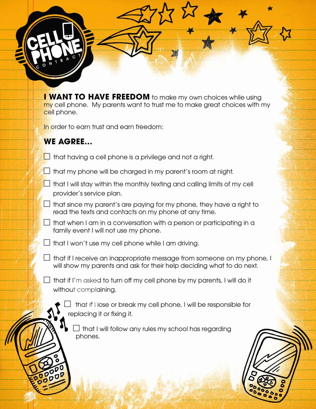**I WANT TO HAVE FREEDOM** to make my own choices while using my cell phone. My parents want to trust me to make great choices with my cell phone.

In order to earn trust and earn freedom:

## **WE AGREE...**

- $\Box$  that having a cell phone is a privilege and not a right.
- $\Box$  that my phone will be charged in my parent's room at night.
- $\Box$  that I will stay within the monthly texting and calling limits of my cell provider's service plan.
- $\Box$  that since my parent's are paying for my phone, they have a right to read the texts and contacts on my phone at any time.
- $\Box$  that when I am in a conversation with a person or participating in a family event I will not use my phone.
- $\Box$  that I won't use my cell phone while I am driving.
- $\Box$  that if I receive an inappropriate message from someone on my phone, I will show my parents and ask for their help deciding what to do next.
- $\Box$  that if I'm asked to turn off my cell phone by my parents, I will do it without complaining.
	- $\perp$  that if I lose or break my cell phone, I will be responsible for replacing it or fixing it.
		- that I will follow any rules my school has regarding phones.